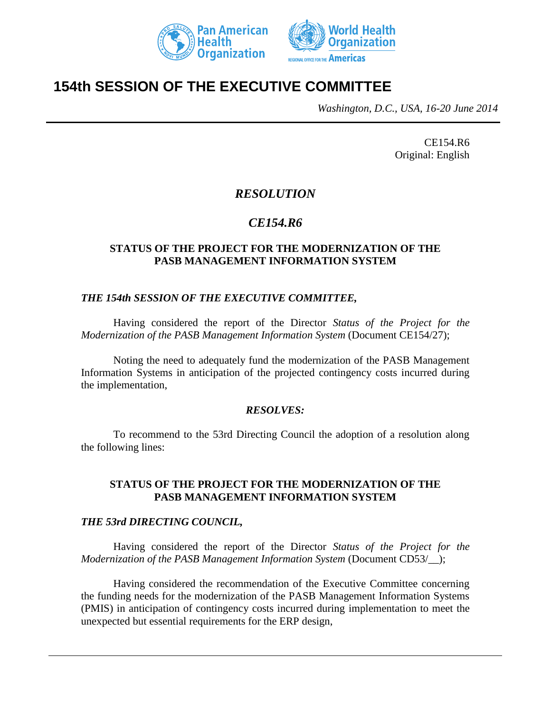



# **154th SESSION OF THE EXECUTIVE COMMITTEE**

*Washington, D.C., USA, 16-20 June 2014*

CE154.R6 Original: English

## *RESOLUTION*

# *CE154.R6*

### **STATUS OF THE PROJECT FOR THE MODERNIZATION OF THE PASB MANAGEMENT INFORMATION SYSTEM**

#### *THE 154th SESSION OF THE EXECUTIVE COMMITTEE,*

Having considered the report of the Director *Status of the Project for the Modernization of the PASB Management Information System* (Document CE154/27);

Noting the need to adequately fund the modernization of the PASB Management Information Systems in anticipation of the projected contingency costs incurred during the implementation,

#### *RESOLVES:*

To recommend to the 53rd Directing Council the adoption of a resolution along the following lines:

#### **STATUS OF THE PROJECT FOR THE MODERNIZATION OF THE PASB MANAGEMENT INFORMATION SYSTEM**

#### *THE 53rd DIRECTING COUNCIL,*

Having considered the report of the Director *Status of the Project for the Modernization of the PASB Management Information System* (Document CD53/\_\_);

Having considered the recommendation of the Executive Committee concerning the funding needs for the modernization of the PASB Management Information Systems (PMIS) in anticipation of contingency costs incurred during implementation to meet the unexpected but essential requirements for the ERP design,